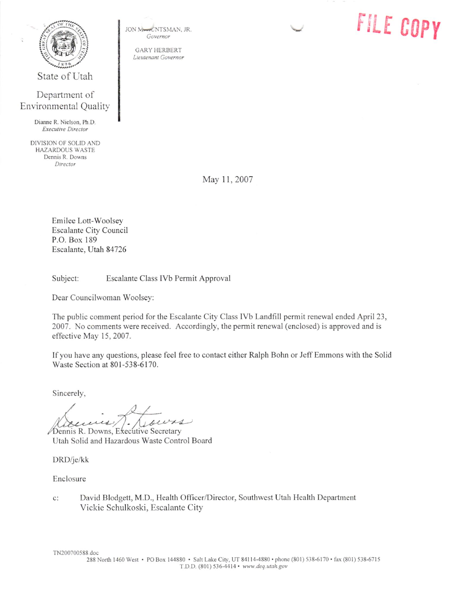

State of Utah

# Department of **Environmental Quality**

Dianne R. Nielson, Ph.D. Executive Director

DIVISION OF SOLID AND **HAZARDOUS WASTE** Dennis R. Downs Director

JON MARCNTSMAN, JR. Governor

> **GARY HERBERT** Lieutenant Governor

> > May 11, 2007

FILE COPY

Emilee Lott-Woolsey **Escalante City Council** P.O. Box 189 Escalante, Utah 84726

Subject: Escalante Class IVb Permit Approval

Dear Councilwoman Woolsey:

The public comment period for the Escalante City Class IVb Landfill permit renewal ended April 23, 2007. No comments were received. Accordingly, the permit renewal (enclosed) is approved and is effective May 15, 2007.

If you have any questions, please feel free to contact either Ralph Bohn or Jeff Emmons with the Solid Waste Section at 801-538-6170.

Sincerely,

Dennis R. Downs, Executive Secretary Utah Solid and Hazardous Waste Control Board

DRD/je/kk

Enclosure

David Blodgett, M.D., Health Officer/Director, Southwest Utah Health Department  $C:$ Vickie Schulkoski, Escalante City

TN200700588.doc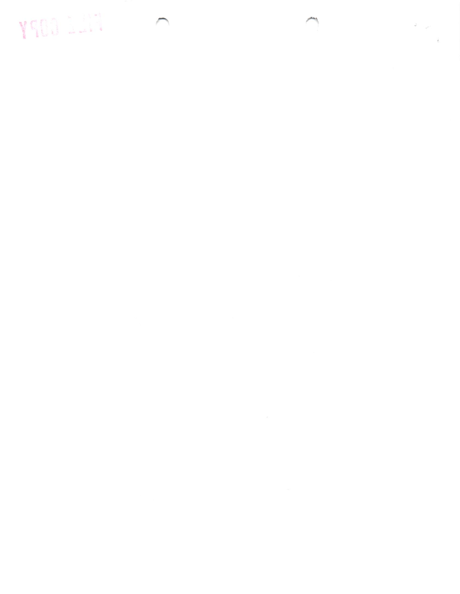# FILE GOPY

 $\mathcal{L}^{\mathcal{L}}(\mathcal{L}^{\mathcal{L}})$ 

 $\frac{1}{L}$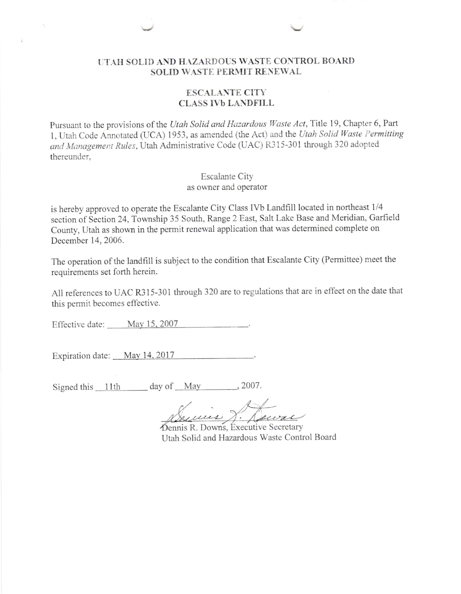### UTAH SOLID AND HAZARDOUS WASTE CONTROL BOARD SOLID WASTE PERMIT RENEWAL

#### ESCALANTE CITY CLASS IVb LANDFILL

Pursuant to the provisions of the Utah Solid and Hazardous Waste Act, Title 19, Chapter 6, Part 1, Utah Code Annorated (UCA) 1953, as amended (the Act) and the Utah Solid Waste Permitting and Management Rules, Utah Administrative Code (UAC) R315-301 through 320 adopted thereunder,

#### Escalante City as owner and operator

is hereby approved to operate the Escalante City Class IVb Landfill located in northeast l/4 section of Section 24. Township 35 South, Range 2 East, Salt Lake Base and Meridian, Garheld County, Utah as shown in the permit renewal application that was determined complete on December 14,2006.

The operation of the landfill is subject to the condition that Escalante City (Permittee) meet the requirements set forth herein.

All references to UAC R315-301 through 320 are to regulations that are in effect on the date that this permit becomes effective.

Effective date: May 15, 2007

 $\sim$ 

Expiration date:  $\text{May } 14, 2017$ 

Signed this  $11th$  day of May , 2007.

1. Jawas

Dennis R. Downs, Executive Secretary Utah Solid and Hazardous Waste Control Board